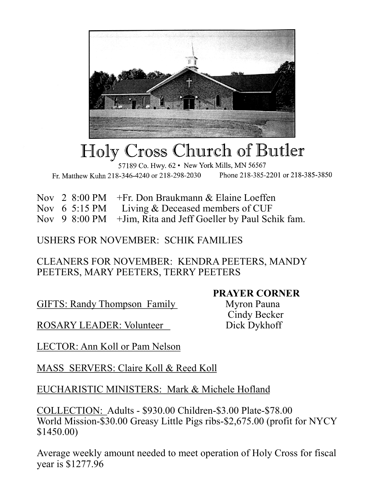

## Holy Cross Church of Butler

57189 Co. Hwy. 62 · New York Mills, MN 56567 Phone 218-385-2201 or 218-385-3850 Fr. Matthew Kuhn 218-346-4240 or 218-298-2030

Nov 2 8:00 PM +Fr. Don Braukmann & Elaine Loeffen

Nov 6 5:15 PM Living & Deceased members of CUF

Nov 9 8:00 PM +Jim, Rita and Jeff Goeller by Paul Schik fam.

## USHERS FOR NOVEMBER: SCHIK FAMILIES

## CLEANERS FOR NOVEMBER: KENDRA PEETERS, MANDY PEETERS, MARY PEETERS, TERRY PEETERS

GIFTS: Randy Thompson Family Myron Pauna

ROSARY LEADER: Volunteer Dick Dykhoff

**PRAYER CORNER**

Cindy Becker

LECTOR: Ann Koll or Pam Nelson

MASS SERVERS: Claire Koll & Reed Koll

EUCHARISTIC MINISTERS: Mark & Michele Hofland

COLLECTION: Adults - \$930.00 Children-\$3.00 Plate-\$78.00 World Mission-\$30.00 Greasy Little Pigs ribs-\$2,675.00 (profit for NYCY \$1450.00)

Average weekly amount needed to meet operation of Holy Cross for fiscal year is \$1277.96